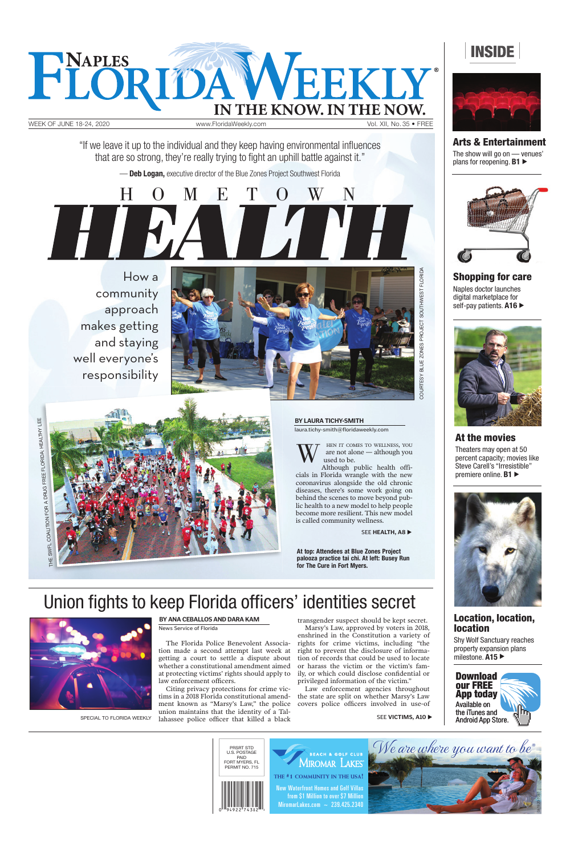

Naples doctor launches digital marketplace for self-pay patients. A16





Theaters may open at 50 percent capacity; movies like Steve Carell's "Irresistible" premiere online. **B1** 





**Arts & Entertainment** The show will go on — venues' plans for reopening. **B1** 





Shy Wolf Sanctuary reaches property expansion plans milestone. **A15** ▶

tion made a second attempt last week at right to prevent the disclosure of informagetting a court to settle a dispute about whether a constitutional amendment aimed at protecting victims' rights should apply to law enforcement officers.

**Shopping for care**

Citing privacy protections for crime victims in a 2018 Florida constitutional amendment known as "Marsy's Law," the police union maintains that the identity of a Tal-SPECIAL TO FLORIDA WEEKLY lahassee police officer that killed a black SEE VICTIMS, A10 **At the movies**

## **Location, location, location**

Law enforcement agencies throughout the state are split on whether Marsy's Law covers police officers involved in use-of

The Florida Police Benevolent Associa-

transgender suspect should be kept secret. Marsy's Law, approved by voters in 2018,

enshrined in the Constitution a variety of rights for crime victims, including "the



tion of records that could be used to locate or harass the victim or the victim's family, or which could disclose confidential or privileged information of the victim."

HOMETOWN

Although public health officials in Florida wrangle with the new coronavirus alongside the old chronic diseases, there's some work going on behind the scenes to move beyond public health to a new model to help people become more resilient. This new model is called community wellness.

SEE **HEALTH**, A8

HEN IT COMES TO WELLNESS, YOU are not alone — although you used to be. W

How a community approach makes getting and staying well everyone's responsibility



**At top: Attendees at Blue Zones Project palooza practice tai chi. At left: Busey Run for The Cure in Fort Myers.** 

## Union fights to keep Florida officers' identities secret



"If we leave it up to the individual and they keep having environmental influences that are so strong, they're really trying to fight an uphill battle against it."

— **Deb Logan,** executive director of the Blue Zones Project Southwest Florida

**BY LAURA TICHY-SMITH**

laura.tichy-smith@floridaweekly.com



**BY ANA CEBALLOS AND DARA KAM**

News Service of Florida